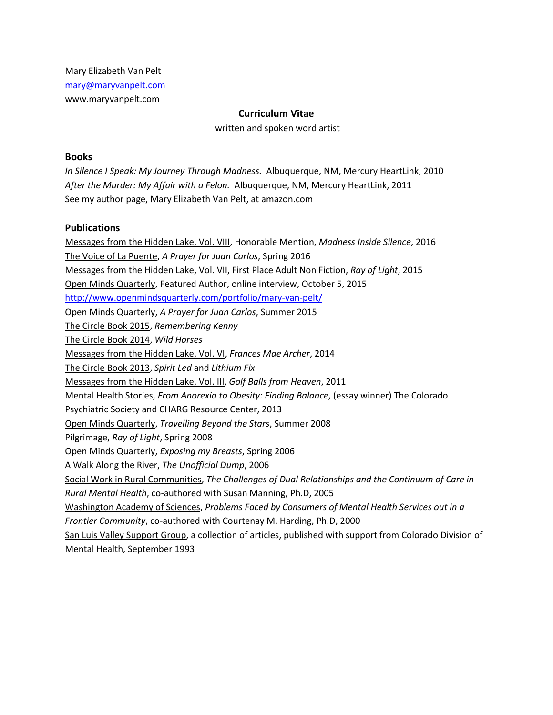Mary Elizabeth Van Pelt [mary@maryvanpelt.com](mailto:mary@maryvanpelt.com) www.maryvanpelt.com

## **Curriculum Vitae**

written and spoken word artist

### **Books**

*In Silence I Speak: My Journey Through Madness.* Albuquerque, NM, Mercury HeartLink, 2010 *After the Murder: My Affair with a Felon.* Albuquerque, NM, Mercury HeartLink, 2011 See my author page, Mary Elizabeth Van Pelt, at amazon.com

### **Publications**

Messages from the Hidden Lake, Vol. VIII, Honorable Mention, *Madness Inside Silence*, 2016 The Voice of La Puente, *A Prayer for Juan Carlos*, Spring 2016 Messages from the Hidden Lake, Vol. VII, First Place Adult Non Fiction, *Ray of Light*, 2015 Open Minds Quarterly, Featured Author, online interview, October 5, 2015 <http://www.openmindsquarterly.com/portfolio/mary-van-pelt/> Open Minds Quarterly, *A Prayer for Juan Carlos*, Summer 2015 The Circle Book 2015, *Remembering Kenny* The Circle Book 2014, *Wild Horses* Messages from the Hidden Lake, Vol. VI, *Frances Mae Archer*, 2014 The Circle Book 2013, *Spirit Led* and *Lithium Fix* Messages from the Hidden Lake, Vol. III, *Golf Balls from Heaven*, 2011 Mental Health Stories, *From Anorexia to Obesity: Finding Balance*, (essay winner) The Colorado Psychiatric Society and CHARG Resource Center, 2013 Open Minds Quarterly, *Travelling Beyond the Stars*, Summer 2008 Pilgrimage, *Ray of Light*, Spring 2008 Open Minds Quarterly, *Exposing my Breasts*, Spring 2006 A Walk Along the River, *The Unofficial Dump*, 2006 Social Work in Rural Communities, *The Challenges of Dual Relationships and the Continuum of Care in Rural Mental Health*, co-authored with Susan Manning, Ph.D, 2005 Washington Academy of Sciences, *Problems Faced by Consumers of Mental Health Services out in a Frontier Community*, co-authored with Courtenay M. Harding, Ph.D, 2000 San Luis Valley Support Group, a collection of articles, published with support from Colorado Division of Mental Health, September 1993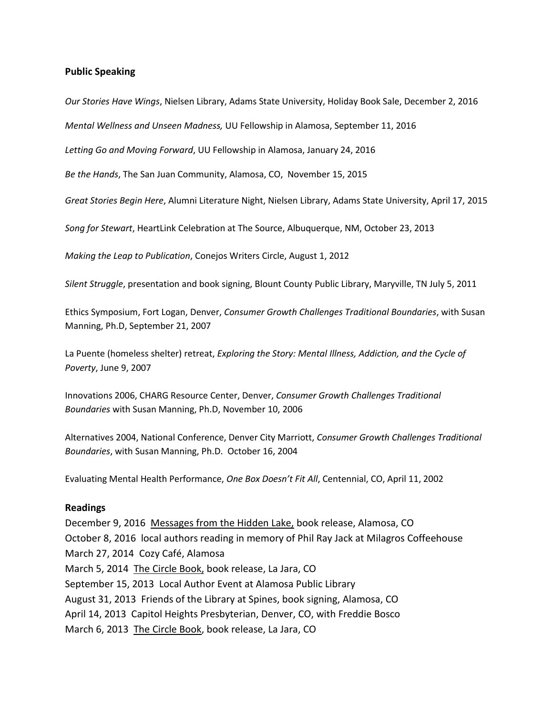### **Public Speaking**

*Our Stories Have Wings*, Nielsen Library, Adams State University, Holiday Book Sale, December 2, 2016

*Mental Wellness and Unseen Madness,* UU Fellowship in Alamosa, September 11, 2016

*Letting Go and Moving Forward*, UU Fellowship in Alamosa, January 24, 2016

*Be the Hands*, The San Juan Community, Alamosa, CO, November 15, 2015

*Great Stories Begin Here*, Alumni Literature Night, Nielsen Library, Adams State University, April 17, 2015

*Song for Stewart*, HeartLink Celebration at The Source, Albuquerque, NM, October 23, 2013

*Making the Leap to Publication*, Conejos Writers Circle, August 1, 2012

*Silent Struggle*, presentation and book signing, Blount County Public Library, Maryville, TN July 5, 2011

Ethics Symposium, Fort Logan, Denver, *Consumer Growth Challenges Traditional Boundaries*, with Susan Manning, Ph.D, September 21, 2007

La Puente (homeless shelter) retreat, *Exploring the Story: Mental Illness, Addiction, and the Cycle of Poverty*, June 9, 2007

Innovations 2006, CHARG Resource Center, Denver, *Consumer Growth Challenges Traditional Boundaries* with Susan Manning, Ph.D, November 10, 2006

Alternatives 2004, National Conference, Denver City Marriott, *Consumer Growth Challenges Traditional Boundaries*, with Susan Manning, Ph.D. October 16, 2004

Evaluating Mental Health Performance, *One Box Doesn't Fit All*, Centennial, CO, April 11, 2002

#### **Readings**

December 9, 2016 Messages from the Hidden Lake, book release, Alamosa, CO October 8, 2016 local authors reading in memory of Phil Ray Jack at Milagros Coffeehouse March 27, 2014 Cozy Café, Alamosa March 5, 2014 The Circle Book, book release, La Jara, CO September 15, 2013 Local Author Event at Alamosa Public Library August 31, 2013 Friends of the Library at Spines, book signing, Alamosa, CO April 14, 2013 Capitol Heights Presbyterian, Denver, CO, with Freddie Bosco March 6, 2013 The Circle Book, book release, La Jara, CO